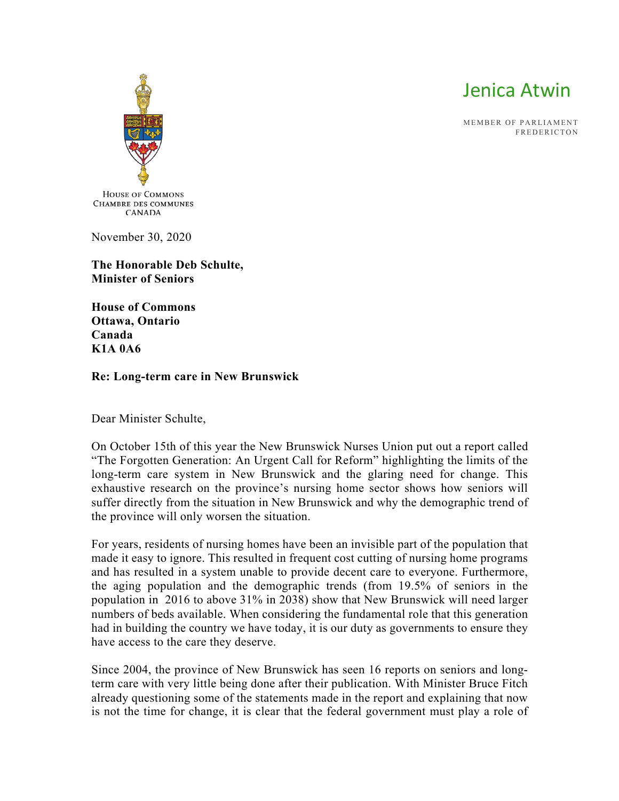

MEMBER OF PARLIAMENT **EREDERICTON** 



November 30, 2020

**The Honorable Deb Schulte, Minister of Seniors**

**House of Commons Ottawa, Ontario Canada K1A 0A6**

## **Re: Long-term care in New Brunswick**

Dear Minister Schulte,

On October 15th of this year the New Brunswick Nurses Union put out a report called "The Forgotten Generation: An Urgent Call for Reform" highlighting the limits of the long-term care system in New Brunswick and the glaring need for change. This exhaustive research on the province's nursing home sector shows how seniors will suffer directly from the situation in New Brunswick and why the demographic trend of the province will only worsen the situation.

For years, residents of nursing homes have been an invisible part of the population that made it easy to ignore. This resulted in frequent cost cutting of nursing home programs and has resulted in a system unable to provide decent care to everyone. Furthermore, the aging population and the demographic trends (from 19.5% of seniors in the population in 2016 to above 31% in 2038) show that New Brunswick will need larger numbers of beds available. When considering the fundamental role that this generation had in building the country we have today, it is our duty as governments to ensure they have access to the care they deserve.

Since 2004, the province of New Brunswick has seen 16 reports on seniors and longterm care with very little being done after their publication. With Minister Bruce Fitch already questioning some of the statements made in the report and explaining that now is not the time for change, it is clear that the federal government must play a role of